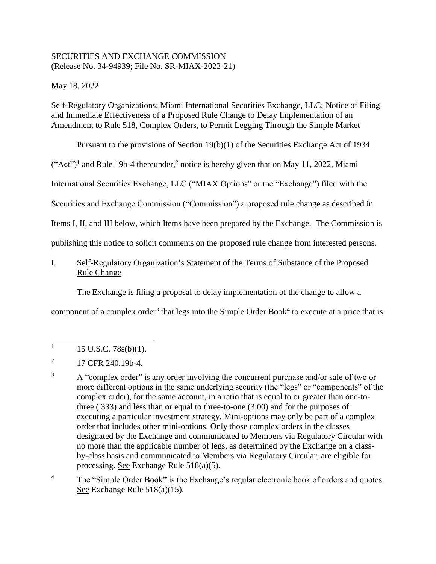## SECURITIES AND EXCHANGE COMMISSION (Release No. 34-94939; File No. SR-MIAX-2022-21)

May 18, 2022

Self-Regulatory Organizations; Miami International Securities Exchange, LLC; Notice of Filing and Immediate Effectiveness of a Proposed Rule Change to Delay Implementation of an Amendment to Rule 518, Complex Orders, to Permit Legging Through the Simple Market

Pursuant to the provisions of Section 19(b)(1) of the Securities Exchange Act of 1934

 $("Act")<sup>1</sup>$  and Rule 19b-4 thereunder,<sup>2</sup> notice is hereby given that on May 11, 2022, Miami

International Securities Exchange, LLC ("MIAX Options" or the "Exchange") filed with the

Securities and Exchange Commission ("Commission") a proposed rule change as described in

Items I, II, and III below, which Items have been prepared by the Exchange. The Commission is

publishing this notice to solicit comments on the proposed rule change from interested persons.

## I. Self-Regulatory Organization's Statement of the Terms of Substance of the Proposed Rule Change

The Exchange is filing a proposal to delay implementation of the change to allow a

component of a complex order<sup>3</sup> that legs into the Simple Order Book<sup>4</sup> to execute at a price that is

 $\overline{\phantom{a}}$ 1 15 U.S.C. 78s(b)(1).

<sup>4</sup> The "Simple Order Book" is the Exchange's regular electronic book of orders and quotes. See Exchange Rule 518(a)(15).

<sup>2</sup> 17 CFR 240.19b-4.

<sup>&</sup>lt;sup>3</sup> A "complex order" is any order involving the concurrent purchase and/or sale of two or more different options in the same underlying security (the "legs" or "components" of the complex order), for the same account, in a ratio that is equal to or greater than one-tothree (.333) and less than or equal to three-to-one (3.00) and for the purposes of executing a particular investment strategy. Mini-options may only be part of a complex order that includes other mini-options. Only those complex orders in the classes designated by the Exchange and communicated to Members via Regulatory Circular with no more than the applicable number of legs, as determined by the Exchange on a classby-class basis and communicated to Members via Regulatory Circular, are eligible for processing. See Exchange Rule 518(a)(5).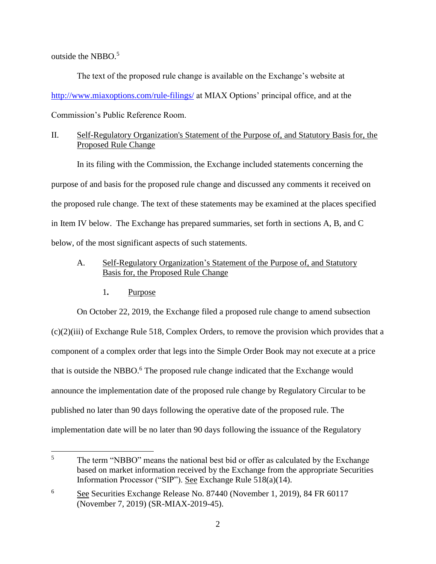outside the NBB $O<sub>5</sub>$ 

The text of the proposed rule change is available on the Exchange's website at [http://www.miaxoptions.com/rule-filings/](http://www.miaxoptions.com/rule-filings/pearl) at MIAX Options' principal office, and at the Commission's Public Reference Room.

# II. Self-Regulatory Organization's Statement of the Purpose of, and Statutory Basis for, the Proposed Rule Change

In its filing with the Commission, the Exchange included statements concerning the purpose of and basis for the proposed rule change and discussed any comments it received on the proposed rule change. The text of these statements may be examined at the places specified in Item IV below. The Exchange has prepared summaries, set forth in sections A, B, and C below, of the most significant aspects of such statements.

## A. Self-Regulatory Organization's Statement of the Purpose of, and Statutory Basis for, the Proposed Rule Change

1**.** Purpose

On October 22, 2019, the Exchange filed a proposed rule change to amend subsection (c)(2)(iii) of Exchange Rule 518, Complex Orders, to remove the provision which provides that a component of a complex order that legs into the Simple Order Book may not execute at a price that is outside the NBBO.<sup>6</sup> The proposed rule change indicated that the Exchange would announce the implementation date of the proposed rule change by Regulatory Circular to be published no later than 90 days following the operative date of the proposed rule. The implementation date will be no later than 90 days following the issuance of the Regulatory

 $5\overline{)}$ The term "NBBO" means the national best bid or offer as calculated by the Exchange based on market information received by the Exchange from the appropriate Securities Information Processor ("SIP"). See Exchange Rule 518(a)(14).

<sup>6</sup> See Securities Exchange Release No. 87440 (November 1, 2019), 84 FR 60117 (November 7, 2019) (SR-MIAX-2019-45).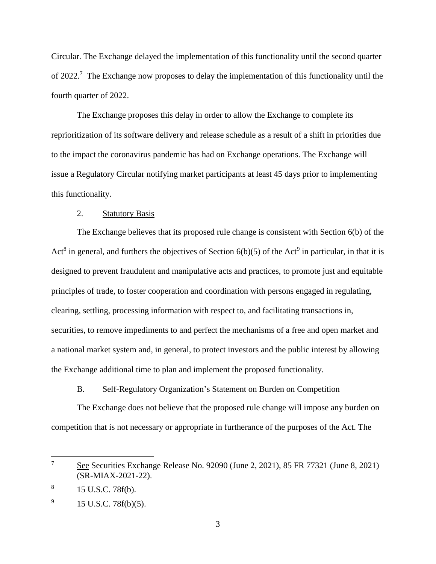Circular. The Exchange delayed the implementation of this functionality until the second quarter of 2022.<sup>7</sup> The Exchange now proposes to delay the implementation of this functionality until the fourth quarter of 2022.

The Exchange proposes this delay in order to allow the Exchange to complete its reprioritization of its software delivery and release schedule as a result of a shift in priorities due to the impact the coronavirus pandemic has had on Exchange operations. The Exchange will issue a Regulatory Circular notifying market participants at least 45 days prior to implementing this functionality.

### 2. Statutory Basis

The Exchange believes that its proposed rule change is consistent with Section 6(b) of the Act<sup>8</sup> in general, and furthers the objectives of Section  $6(b)(5)$  of the Act<sup>9</sup> in particular, in that it is designed to prevent fraudulent and manipulative acts and practices, to promote just and equitable principles of trade, to foster cooperation and coordination with persons engaged in regulating, clearing, settling, processing information with respect to, and facilitating transactions in, securities, to remove impediments to and perfect the mechanisms of a free and open market and a national market system and, in general, to protect investors and the public interest by allowing the Exchange additional time to plan and implement the proposed functionality.

## B. Self-Regulatory Organization's Statement on Burden on Competition

The Exchange does not believe that the proposed rule change will impose any burden on competition that is not necessary or appropriate in furtherance of the purposes of the Act. The

l

<sup>&</sup>lt;sup>7</sup> See Securities Exchange Release No. 92090 (June 2, 2021), 85 FR 77321 (June 8, 2021) (SR-MIAX-2021-22).

<sup>8</sup> 15 U.S.C. 78f(b).

<sup>9</sup> 15 U.S.C. 78f(b)(5).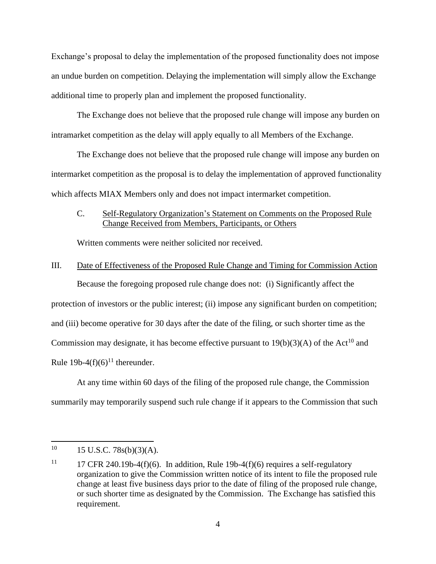Exchange's proposal to delay the implementation of the proposed functionality does not impose an undue burden on competition. Delaying the implementation will simply allow the Exchange additional time to properly plan and implement the proposed functionality.

The Exchange does not believe that the proposed rule change will impose any burden on intramarket competition as the delay will apply equally to all Members of the Exchange.

The Exchange does not believe that the proposed rule change will impose any burden on intermarket competition as the proposal is to delay the implementation of approved functionality which affects MIAX Members only and does not impact intermarket competition.

## C. Self-Regulatory Organization's Statement on Comments on the Proposed Rule Change Received from Members, Participants, or Others

Written comments were neither solicited nor received.

#### III. Date of Effectiveness of the Proposed Rule Change and Timing for Commission Action

Because the foregoing proposed rule change does not: (i) Significantly affect the protection of investors or the public interest; (ii) impose any significant burden on competition; and (iii) become operative for 30 days after the date of the filing, or such shorter time as the Commission may designate, it has become effective pursuant to  $19(b)(3)(A)$  of the Act<sup>10</sup> and Rule 19b-4(f)(6)<sup>11</sup> thereunder.

At any time within 60 days of the filing of the proposed rule change, the Commission summarily may temporarily suspend such rule change if it appears to the Commission that such

 $10<sup>10</sup>$  $15$  U.S.C.  $78s(b)(3)(A)$ .

<sup>&</sup>lt;sup>11</sup> 17 CFR 240.19b-4(f)(6). In addition, Rule 19b-4(f)(6) requires a self-regulatory organization to give the Commission written notice of its intent to file the proposed rule change at least five business days prior to the date of filing of the proposed rule change, or such shorter time as designated by the Commission. The Exchange has satisfied this requirement.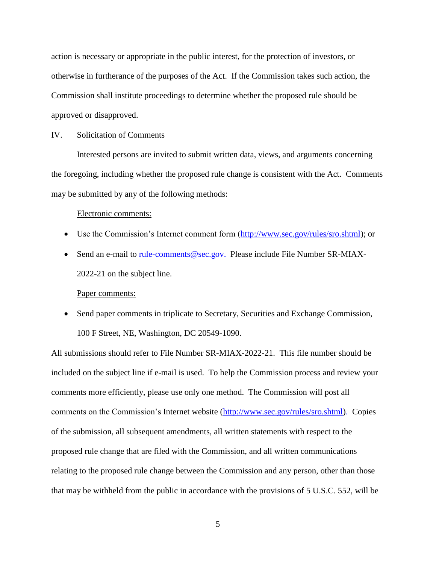action is necessary or appropriate in the public interest, for the protection of investors, or otherwise in furtherance of the purposes of the Act. If the Commission takes such action, the Commission shall institute proceedings to determine whether the proposed rule should be approved or disapproved.

#### IV. Solicitation of Comments

Interested persons are invited to submit written data, views, and arguments concerning the foregoing, including whether the proposed rule change is consistent with the Act. Comments may be submitted by any of the following methods:

#### Electronic comments:

- Use the Commission's Internet comment form [\(http://www.sec.gov/rules/sro.shtml\)](http://www.sec.gov/rules/sro.shtml); or
- Send an e-mail to [rule-comments@sec.gov.](mailto:rule-comments@sec.gov) Please include File Number SR-MIAX-2022-21 on the subject line.

#### Paper comments:

• Send paper comments in triplicate to Secretary, Securities and Exchange Commission, 100 F Street, NE, Washington, DC 20549-1090.

All submissions should refer to File Number SR-MIAX-2022-21. This file number should be included on the subject line if e-mail is used. To help the Commission process and review your comments more efficiently, please use only one method. The Commission will post all comments on the Commission's Internet website (http://www.sec.gov/rules/sro.shtml). Copies of the submission, all subsequent amendments, all written statements with respect to the proposed rule change that are filed with the Commission, and all written communications relating to the proposed rule change between the Commission and any person, other than those that may be withheld from the public in accordance with the provisions of 5 U.S.C. 552, will be